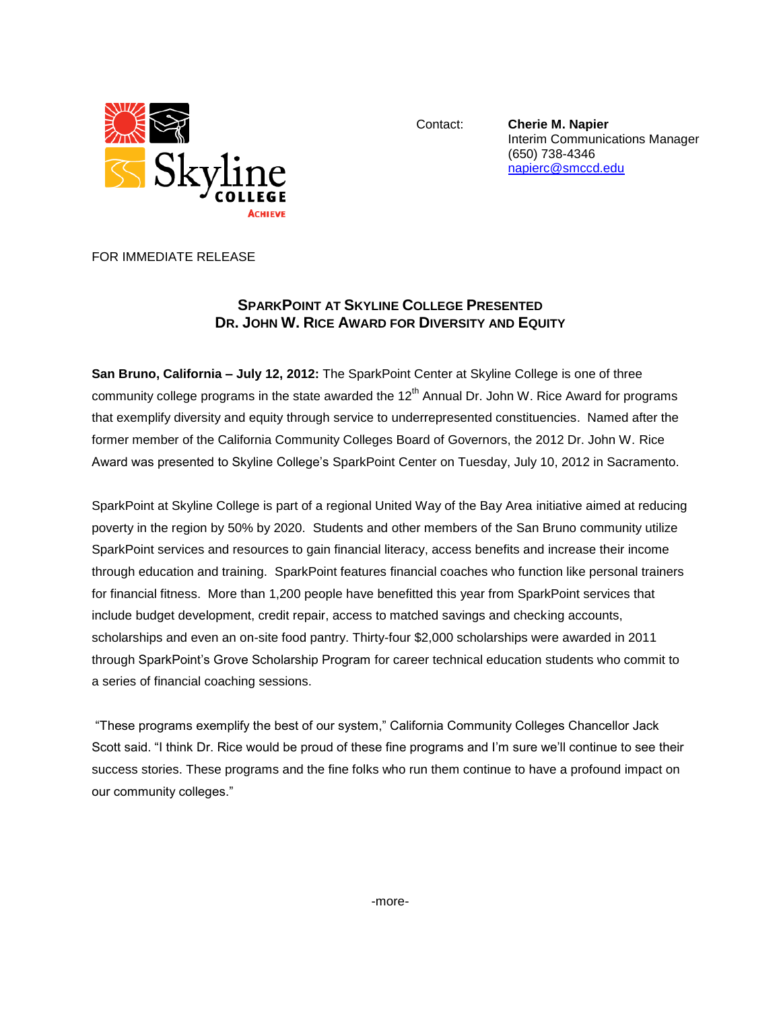

Contact: **Cherie M. Napier** Interim Communications Manager (650) 738-4346 [napierc@smccd.edu](mailto:napierc@smccd.edu)

FOR IMMEDIATE RELEASE

## **SPARKPOINT AT SKYLINE COLLEGE PRESENTED DR. JOHN W. RICE AWARD FOR DIVERSITY AND EQUITY**

**San Bruno, California – July 12, 2012:** The SparkPoint Center at Skyline College is one of three community college programs in the state awarded the  $12<sup>th</sup>$  Annual Dr. John W. Rice Award for programs that exemplify diversity and equity through service to underrepresented constituencies. Named after the former member of the California Community Colleges Board of Governors, the 2012 Dr. John W. Rice Award was presented to Skyline College's SparkPoint Center on Tuesday, July 10, 2012 in Sacramento.

[SparkPoint](http://www.skylinecollege.edu/sparkpoint/) at Skyline College is part of a regional United Way of the Bay Area initiative aimed at reducing poverty in the region by 50% by 2020. Students and other members of the San Bruno community utilize SparkPoint services and resources to gain financial literacy, access benefits and increase their income through education and training. SparkPoint features financial coaches who function like personal trainers for financial fitness. More than 1,200 people have benefitted this year from SparkPoint services that include budget development, credit repair, access to matched savings and checking accounts, scholarships and even an on-site food pantry. Thirty-four \$2,000 scholarships were awarded in 2011 through SparkPoint's Grove Scholarship Program for career technical education students who commit to a series of financial coaching sessions.

"These programs exemplify the best of our system," California Community Colleges Chancellor Jack Scott said. "I think Dr. Rice would be proud of these fine programs and I'm sure we'll continue to see their success stories. These programs and the fine folks who run them continue to have a profound impact on our community colleges."